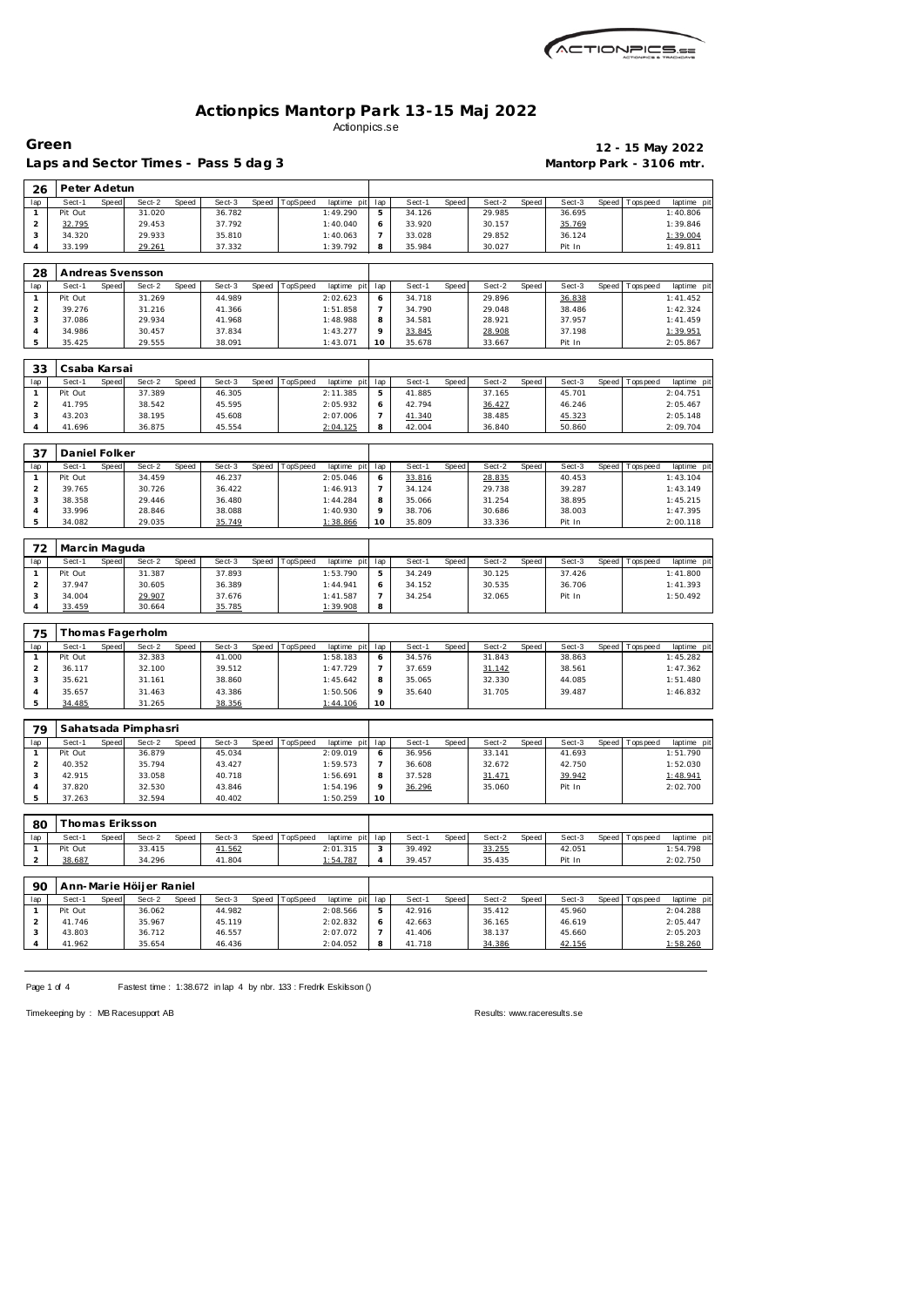

## **Actionpics Mantorp Park 13-15 Maj 2022** Actionpics.se

Laps and Sector Times - Pass 5 dag 3 **Mantorp Park - 3106 mtr.** 

**Green 12 - 15 May 2022**

| 26                      | Peter Adetun     |       |                         |       |                  |       |          |                      |                               |                  |       |                  |       |                  |       |                   |                      |
|-------------------------|------------------|-------|-------------------------|-------|------------------|-------|----------|----------------------|-------------------------------|------------------|-------|------------------|-------|------------------|-------|-------------------|----------------------|
| lap                     | Sect-1           | Speed | Sect-2                  | Speed | Sect-3           | Speed | TopSpeed | laptime pit          | lap                           | Sect-1           | Speed | Sect-2           | Speed | Sect-3           | Speed | Tops pee d        | laptime pit          |
| $\mathbf{1}$            | Pit Out          |       | 31.020                  |       | 36.782           |       |          | 1:49.290             | 5                             | 34.126           |       | 29.985           |       | 36.695           |       |                   | 1:40.806             |
| $\mathbf 2$<br>3        | 32.795<br>34.320 |       | 29.453                  |       | 37.792           |       |          | 1:40.040             | 6<br>$\overline{\phantom{a}}$ | 33.920           |       | 30.157           |       | 35.769           |       |                   | 1:39.846             |
| 4                       | 33.199           |       | 29.933                  |       | 35.810<br>37.332 |       |          | 1:40.063<br>1:39.792 | 8                             | 33.028<br>35.984 |       | 29.852<br>30.027 |       | 36.124<br>Pit In |       |                   | 1:39.004<br>1:49.811 |
|                         |                  |       | 29.261                  |       |                  |       |          |                      |                               |                  |       |                  |       |                  |       |                   |                      |
|                         |                  |       |                         |       |                  |       |          |                      |                               |                  |       |                  |       |                  |       |                   |                      |
| 28                      | Andreas Svensson |       |                         |       |                  |       |          |                      |                               |                  |       |                  |       |                  |       |                   |                      |
| lap                     | Sect-1           | Speed | Sect-2                  | Speed | Sect-3           | Speed | TopSpeed | laptime pit          | lap                           | Sect-1           | Speed | Sect-2           | Speed | Sect-3           | Speed | Tops pee d        | laptime pit          |
| $\mathbf{1}$            | Pit Out          |       | 31.269                  |       | 44.989           |       |          | 2:02.623             | 6                             | 34.718           |       | 29.896           |       | 36.838           |       |                   | 1:41.452             |
| $\overline{c}$          | 39.276           |       | 31.216                  |       | 41.366           |       |          | 1:51.858             | $\overline{7}$                | 34.790           |       | 29.048           |       | 38.486           |       |                   | 1:42.324             |
| 3                       | 37.086           |       | 29.934                  |       | 41.968           |       |          | 1:48.988             | 8                             | 34.581           |       | 28.921           |       | 37.957           |       |                   | 1:41.459             |
| $\overline{4}$          | 34.986           |       | 30.457                  |       | 37.834           |       |          | 1:43.277             | 9                             | 33.845           |       | 28.908           |       | 37.198           |       |                   | 1:39.951             |
| 5                       | 35.425           |       | 29.555                  |       | 38.091           |       |          | 1:43.071             | 10                            | 35.678           |       | 33.667           |       | Pit In           |       |                   | 2:05.867             |
|                         |                  |       |                         |       |                  |       |          |                      |                               |                  |       |                  |       |                  |       |                   |                      |
| 33                      | Csaba Karsai     |       |                         |       |                  |       |          |                      |                               |                  |       |                  |       |                  |       |                   |                      |
| lap                     | Sect-1           | Speed | Sect-2                  | Speed | Sect-3           | Speed | TopSpeed | laptime pit          | lap                           | Sect-1           | Speed | Sect-2           | Speed | Sect-3           | Speed | Tops pee d        | laptime pit          |
| $\mathbf{1}$            | Pit Out          |       | 37.389                  |       | 46.305           |       |          | 2:11.385             | 5                             | 41.885           |       | 37.165           |       | 45.701           |       |                   | 2:04.751             |
| $\mathbf 2$             | 41.795           |       | 38.542                  |       | 45.595           |       |          | 2:05.932             | 6                             | 42.794           |       | 36.427           |       | 46.246           |       |                   | 2:05.467             |
| 3                       | 43.203           |       | 38.195                  |       | 45.608           |       |          | 2:07.006             | $\overline{7}$                | 41.340           |       | 38.485           |       | 45.323           |       |                   | 2:05.148             |
| 4                       | 41.696           |       | 36.875                  |       | 45.554           |       |          | 2:04.125             | 8                             | 42.004           |       | 36.840           |       | 50.860           |       |                   | 2:09.704             |
|                         |                  |       |                         |       |                  |       |          |                      |                               |                  |       |                  |       |                  |       |                   |                      |
|                         | Daniel Folker    |       |                         |       |                  |       |          |                      |                               |                  |       |                  |       |                  |       |                   |                      |
| 37                      |                  |       |                         |       |                  |       |          |                      |                               |                  |       |                  |       |                  |       |                   |                      |
| lap                     | Sect-1           | Speed | Sect-2                  | Speed | Sect-3           | Speed | TopSpeed | laptime pit          | lap                           | Sect-1           | Speed | Sect-2           | Speed | Sect-3           |       | Speed   Tops peed | laptime pit          |
| $\mathbf{1}$            | Pit Out          |       | 34.459                  |       | 46.237           |       |          | 2:05.046             | 6                             | 33.816           |       | 28.835           |       | 40.453           |       |                   | 1:43.104             |
| $\overline{c}$          | 39.765           |       | 30.726                  |       | 36.422           |       |          | 1:46.913             | 7                             | 34.124           |       | 29.738           |       | 39.287           |       |                   | 1:43.149             |
| 3                       | 38.358           |       | 29.446                  |       | 36.480           |       |          | 1:44.284             | 8                             | 35.066           |       | 31.254           |       | 38.895           |       |                   | 1:45.215             |
| $\overline{4}$          | 33.996           |       | 28.846                  |       | 38.088           |       |          | 1:40.930             | 9                             | 38.706           |       | 30.686           |       | 38.003           |       |                   | 1:47.395             |
| 5                       | 34.082           |       | 29.035                  |       | 35.749           |       |          | 1:38.866             | 10                            | 35.809           |       | 33.336           |       | Pit In           |       |                   | 2:00.118             |
|                         |                  |       |                         |       |                  |       |          |                      |                               |                  |       |                  |       |                  |       |                   |                      |
| 72                      | Marcin Maguda    |       |                         |       |                  |       |          |                      |                               |                  |       |                  |       |                  |       |                   |                      |
| lap                     | Sect-1           | Speed | Sect-2                  | Speed | Sect-3           | Speed | TopSpeed | laptime pit          | lap                           | Sect-1           | Speed | Sect-2           | Speed | Sect-3           | Speed | Tops pee d        | laptime pit          |
| $\mathbf{1}$            | Pit Out          |       | 31.387                  |       | 37.893           |       |          | 1:53.790             | 5                             | 34.249           |       | 30.125           |       | 37.426           |       |                   | 1:41.800             |
| $\overline{c}$          | 37.947           |       | 30.605                  |       | 36.389           |       |          | 1:44.941             | 6                             | 34.152           |       | 30.535           |       | 36.706           |       |                   | 1:41.393             |
| 3                       | 34.004           |       | 29.907                  |       | 37.676           |       |          | 1:41.587             | $\overline{7}$                | 34.254           |       | 32.065           |       | Pit In           |       |                   | 1:50.492             |
| 4                       | 33.459           |       | 30.664                  |       | 35.785           |       |          | 1:39.908             | 8                             |                  |       |                  |       |                  |       |                   |                      |
|                         |                  |       |                         |       |                  |       |          |                      |                               |                  |       |                  |       |                  |       |                   |                      |
| 75                      |                  |       | Thomas Fagerholm        |       |                  |       |          |                      |                               |                  |       |                  |       |                  |       |                   |                      |
| lap                     | Sect-1           | Speed | Sect-2                  | Speed | Sect-3           | Speed | TopSpeed | laptime pit          | lap                           | Sect-1           | Speed | Sect-2           | Speed | Sect-3           | Speed | Tops peed         | laptime pit          |
| $\mathbf{1}$            | Pit Out          |       | 32.383                  |       | 41.000           |       |          | 1:58.183             | 6                             | 34.576           |       | 31.843           |       | 38.863           |       |                   | 1:45.282             |
| $\mathbf 2$             | 36.117           |       | 32.100                  |       | 39.512           |       |          | 1:47.729             | 7                             | 37.659           |       | 31.142           |       | 38.561           |       |                   | 1:47.362             |
| 3                       | 35.621           |       | 31.161                  |       | 38.860           |       |          | 1:45.642             | 8                             | 35.065           |       | 32.330           |       | 44.085           |       |                   | 1:51.480             |
| $\sqrt{4}$              | 35.657           |       | 31.463                  |       | 43.386           |       |          | 1:50.506             | 9                             | 35.640           |       | 31.705           |       | 39.487           |       |                   | 1:46.832             |
| 5                       | 34.485           |       | 31.265                  |       | 38.356           |       |          | 1:44.106             | 10                            |                  |       |                  |       |                  |       |                   |                      |
|                         |                  |       |                         |       |                  |       |          |                      |                               |                  |       |                  |       |                  |       |                   |                      |
|                         |                  |       |                         |       |                  |       |          |                      |                               |                  |       |                  |       |                  |       |                   |                      |
| 79                      |                  |       | Sahatsada Pimphasri     |       |                  |       |          |                      |                               |                  |       |                  |       |                  |       |                   |                      |
| lap                     | Sect-1           | Speed | Sect-2                  | Speed | Sect-3           | Speed | TopSpeed | laptime pit          | lap                           | Sect-1           | Speed | Sect-2           | Speed | Sect-3           | Speed | Tops peed         | laptime pit          |
| 1                       | Pit Out          |       | 36.879                  |       | 45.034           |       |          | 2:09.019             | 6                             | 36.956           |       | 33.141           |       | 41.693           |       |                   | 1:51.790             |
| $\overline{c}$          | 40.352           |       | 35.794                  |       | 43.427           |       |          | 1:59.573             | $\overline{7}$                | 36.608           |       | 32.672           |       | 42.750           |       |                   | 1:52.030             |
| 3                       | 42.915           |       | 33.058                  |       | 40.718           |       |          | 1:56.691             | 8                             | 37.528           |       | 31.471           |       | 39.942           |       |                   | 1:48.941             |
| $\sqrt{4}$              | 37.820           |       | 32.530                  |       | 43.846           |       |          | 1:54.196             | 9                             | 36.296           |       | 35.060           |       | Pit In           |       |                   | 2:02.700             |
| 5                       | 37.263           |       | 32.594                  |       | 40.402           |       |          | 1:50.259             | 10                            |                  |       |                  |       |                  |       |                   |                      |
|                         |                  |       |                         |       |                  |       |          |                      |                               |                  |       |                  |       |                  |       |                   |                      |
| 80                      | Thomas Eriksson  |       |                         |       |                  |       |          |                      |                               |                  |       |                  |       |                  |       |                   |                      |
| lap                     | Sect-1           | Speed | Sect-2                  | Speed | Sect-3           | Speed | TopSpeed | laptime pit          | lap                           | Sect-1           | Speed | Sect-2           | Speed | Sect-3           | Speed | Tops pee d        | laptime pit          |
| $\mathbf{1}$            | Pit Out          |       | 33.415                  |       | 41.562           |       |          | 2:01.315             | 3                             | 39.492           |       | 33.255           |       | 42.051           |       |                   | 1:54.798             |
| $\overline{a}$          | 38.687           |       | 34.296                  |       | 41.804           |       |          | 1:54.787             | 4                             | 39.457           |       | 35.435           |       | Pit In           |       |                   | 2:02.750             |
|                         |                  |       |                         |       |                  |       |          |                      |                               |                  |       |                  |       |                  |       |                   |                      |
| 90                      |                  |       | Ann-Marie Höljer Raniel |       |                  |       |          |                      |                               |                  |       |                  |       |                  |       |                   |                      |
| lap                     | Sect-1           | Speed | Sect-2                  | Speed | Sect-3           | Speed | TopSpeed | laptime pit          | lap                           | Sect-1           | Speed | Sect-2           | Speed | Sect-3           | Speed | Tops pee d        | laptime pit          |
| $\mathbf{1}$            | Pit Out          |       | 36.062                  |       | 44.982           |       |          | 2:08.566             | 5                             | 42.916           |       | 35.412           |       | 45.960           |       |                   | 2:04.288             |
| $\overline{\mathbf{c}}$ | 41.746           |       | 35.967                  |       | 45.119           |       |          | 2:02.832             | 6                             | 42.663           |       | 36.165           |       | 46.619           |       |                   | 2:05.447             |
| 3                       | 43.803           |       | 36.712                  |       | 46.557           |       |          | 2:07.072             | $\overline{7}$                | 41.406           |       | 38.137           |       | 45.660           |       |                   | 2:05.203             |
| 4                       | 41.962           |       | 35.654                  |       | 46.436           |       |          | 2:04.052             | 8                             | 41.718           |       | 34.386           |       | 42.156           |       |                   | 1:58.260             |
|                         |                  |       |                         |       |                  |       |          |                      |                               |                  |       |                  |       |                  |       |                   |                      |

Page 1 of 4 Fastest time : 1:38.672 in lap 4 by nbr. 133 : Fredrik Eskilsson ()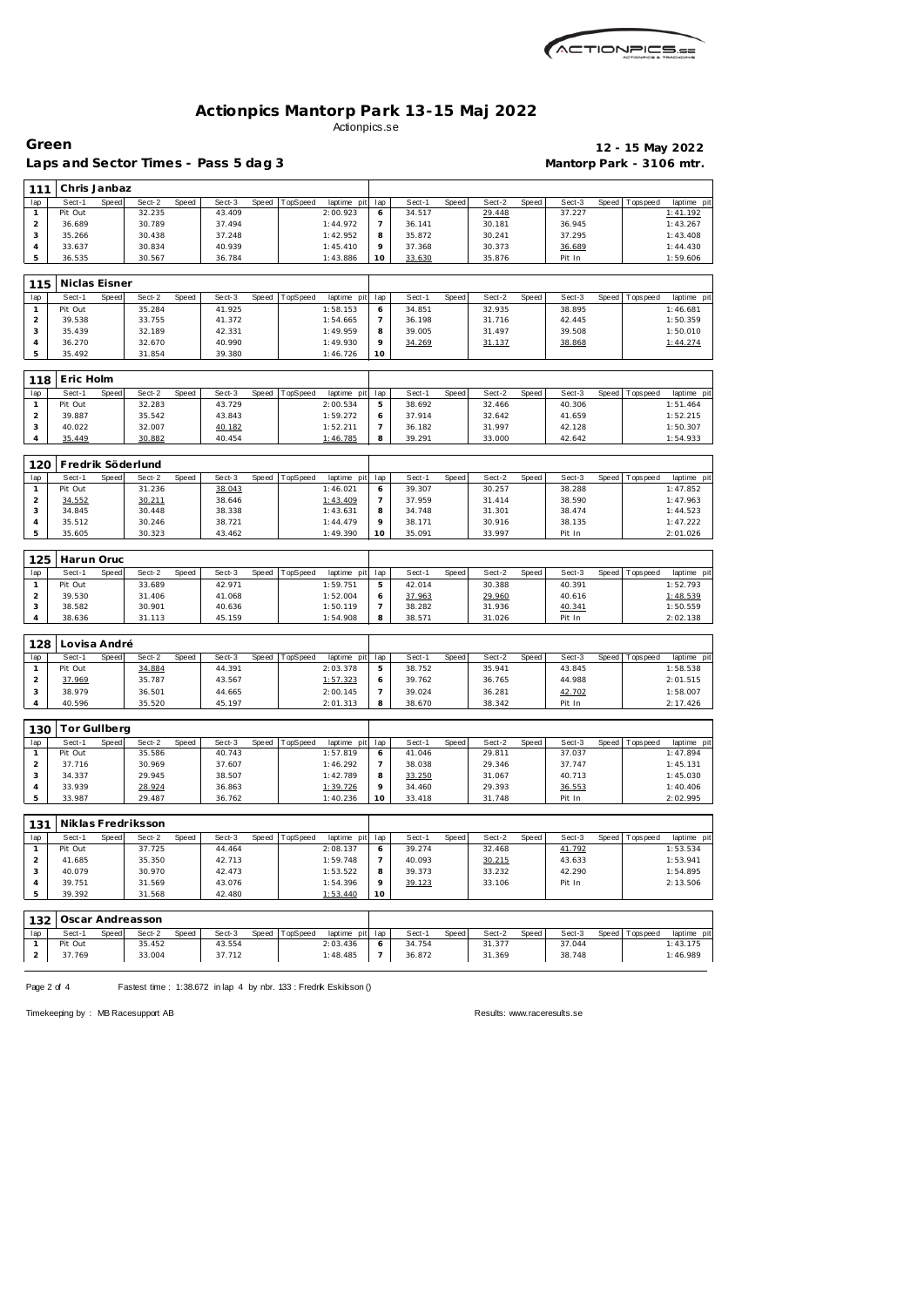

## **Actionpics Mantorp Park 13-15 Maj 2022** Actionpics.se

| Green          |              |           |        |       |                                     |       |          |             |     |        |       |        |       |                          | 12 - 15 May 2022 |            |
|----------------|--------------|-----------|--------|-------|-------------------------------------|-------|----------|-------------|-----|--------|-------|--------|-------|--------------------------|------------------|------------|
|                |              |           |        |       | aps and Sector Times - Pass 5 dag 3 |       |          |             |     |        |       |        |       | Mantorp Park - 3106 mtr. |                  |            |
| 111            | Chris Janbaz |           |        |       |                                     |       |          |             |     |        |       |        |       |                          |                  |            |
| lap            | Sect-1       | Speed     | Sect-2 | Speed | Sect-3                              | Speed | TopSpeed | laptime pit | lap | Sect-1 | Speed | Sect-2 | Speed | Sect-3                   | Speed Topspeed   | laptime pi |
|                | Pit Out      |           | 32.235 |       | 43.409                              |       |          | 2:00.923    | 6   | 34.517 |       | 29.448 |       | 37.227                   |                  | 1:41.192   |
| 2              | 36.689       |           | 30.789 |       | 37.494                              |       |          | 1:44.972    |     | 36.141 |       | 30.181 |       | 36.945                   |                  | 1:43.267   |
| 3              | 35.266       |           | 30.438 |       | 37.248                              |       |          | 1:42.952    | 8   | 35.872 |       | 30.241 |       | 37.295                   |                  | 1:43.408   |
| $\overline{4}$ | 33.637       |           | 30.834 |       | 40.939                              |       |          | 1:45.410    | 9   | 37.368 |       | 30.373 |       | 36.689                   |                  | 1:44.430   |
| 5              | 36.535       |           | 30.567 |       | 36.784                              |       |          | 1:43.886    | 10  | 33.630 |       | 35.876 |       | Pit In                   |                  | 1:59.606   |
|                |              |           |        |       |                                     |       |          |             |     |        |       |        |       |                          |                  |            |
|                | .            | $- \cdot$ |        |       |                                     |       |          |             |     |        |       |        |       |                          |                  |            |

| 115 | Niclas Eisner |       |        |       |        |       |                      |             |     |        |       |        |       |        |       |            |             |
|-----|---------------|-------|--------|-------|--------|-------|----------------------|-------------|-----|--------|-------|--------|-------|--------|-------|------------|-------------|
| lap | Sect-1        | Speed | Sect-2 | Speed | Sect-3 | Speed | opSpeed <sup>-</sup> | laptime pit | lap | Sect-1 | Speed | Sect-2 | Speed | Sect-3 | Speed | Tops pee d | laptime pit |
|     | Pit Out       |       | 35.284 |       | 41.925 |       |                      | 1:58.153    |     | 34.851 |       | 32.935 |       | 38.895 |       |            | 1:46.681    |
|     | 39.538        |       | 33.755 |       | 41.372 |       |                      | 1:54.665    |     | 36.198 |       | 31.716 |       | 42.445 |       |            | 1:50.359    |
|     | 35.439        |       | 32.189 |       | 42.331 |       |                      | 1:49.959    |     | 39.005 |       | 31.497 |       | 39.508 |       |            | 1:50.010    |
|     | 36.270        |       | 32.670 |       | 40.990 |       |                      | 1:49.930    |     | 34.269 |       | 31.137 |       | 38.868 |       |            | 1:44.274    |
|     | 35.492        |       | 31.854 |       | 39.380 |       |                      | 1:46.726    | 10  |        |       |        |       |        |       |            |             |

| 118 | Eric Holm |       |        |       |        |       |          |                 |        |       |        |       |        |                   |             |
|-----|-----------|-------|--------|-------|--------|-------|----------|-----------------|--------|-------|--------|-------|--------|-------------------|-------------|
| lap | Sect-1    | Speed | Sect-2 | Speed | Sect-3 | Speed | TopSpeed | laptime pit lap | Sect-1 | Speed | Sect-2 | Speed | Sect-3 | Speed   Tops peed | laptime pit |
|     | Pit Out   |       | 32.283 |       | 43.729 |       |          | 2:00.534        | 38.692 |       | 32.466 |       | 40.306 |                   | 1:51.464    |
|     | 39.887    |       | 35.542 |       | 43.843 |       |          | 1:59.272        | 37.914 |       | 32.642 |       | 41.659 |                   | 1:52.215    |
|     | 40.022    |       | 32.007 |       | 40.182 |       |          | 1:52.211        | 36.182 |       | 31.997 |       | 42.128 |                   | 1:50.307    |
|     | 35.449    |       | 30.882 |       | 40.454 |       |          | 1:46.785        | 39.291 |       | 33.000 |       | 42.642 |                   | 1:54.933    |

| 120 |         | Fredrik Söderlund        |                 |                             |    |                 |                 |                   |                          |
|-----|---------|--------------------------|-----------------|-----------------------------|----|-----------------|-----------------|-------------------|--------------------------|
| lap | Sect-1  | Sect-2<br>Speed<br>Speed | Sect-3<br>Speed | laptime pit lap<br>TopSpeed |    | Sect-1<br>Speed | Sect-2<br>Speed | Sect-3<br>Speed I | Tops peed<br>laptime pit |
|     | Pit Out | 31.236                   | 38.043          | 1:46.021                    |    | 39.307          | 30.257          | 38.288            | 1:47.852                 |
|     | 34.552  | 30.211                   | 38.646          | 1:43.409                    |    | 37.959          | 31.414          | 38.590            | 1:47.963                 |
|     | 34.845  | 30.448                   | 38.338          | 1:43.631                    |    | 34.748          | 31.301          | 38.474            | 1:44.523                 |
|     | 35.512  | 30.246                   | 38.721          | 1:44.479                    |    | 38.171          | 30.916          | 38.135            | 1:47.222                 |
|     | 35.605  | 30.323                   | 43.462          | 1:49.390                    | 10 | 35.091          | 33.997          | Pit In            | 2:01.026                 |

| 125 | Harun Oruc |              |        |       |        |       |          |                 |         |        |              |        |       |        |       |           |                 |
|-----|------------|--------------|--------|-------|--------|-------|----------|-----------------|---------|--------|--------------|--------|-------|--------|-------|-----------|-----------------|
| lap | Sect-1     | <b>Speed</b> | Sect-2 | Speed | Sect-3 | Speed | TopSpeed | laptime pit lap |         | Sect-1 | <b>Speed</b> | Sect-2 | Speed | Sect-3 | Speed | Tops peed | laptime pit     |
|     | Pit Out    |              | 33.689 |       | 42.971 |       |          | 1:59.751        |         | 42.014 |              | 30.388 |       | 40.391 |       |           | 1:52.793        |
|     | 39.530     |              | 31.406 |       | 41.068 |       |          | 1:52.004        | $\circ$ | 37.963 |              | 29.960 |       | 40.616 |       |           | <u>1:48.539</u> |
|     | 38.582     |              | 30.901 |       | 40.636 |       |          | 1:50.119        |         | 38.282 |              | 31.936 |       | 40.341 |       |           | 1:50.559        |
|     | 38.636     |              | 31.113 |       | 45.159 |       |          | 1:54.908        | 8       | 38.571 |              | 31.026 |       | Pit In |       |           | 2:02.138        |

| 128 | ovisa André |       |        |       |        |       |          |                 |   |        |              |        |              |        |                 |             |
|-----|-------------|-------|--------|-------|--------|-------|----------|-----------------|---|--------|--------------|--------|--------------|--------|-----------------|-------------|
| lap | Sect-1      | Speed | Sect-2 | Speed | Sect-3 | Speed | TopSpeed | laptime pit lap |   | Sect-1 | <b>Speed</b> | Sect-2 | <b>Speed</b> | Sect-3 | Speed Tops peed | laptime pit |
|     | Pit Out     |       | 34.884 |       | 44.391 |       |          | 2:03.378        | 5 | 38.752 |              | 35.941 |              | 43.845 |                 | 1:58.538    |
|     | 37.969      |       | 35.787 |       | 43.567 |       |          | 1:57.323        | Ô | 39.762 |              | 36.765 |              | 44.988 |                 | 2:01.515    |
|     | 38.979      |       | 36.501 |       | 44.665 |       |          | 2:00.145        |   | 39.024 |              | 36.281 |              | 42.702 |                 | 1:58.007    |
|     | 40.596      |       | 35.520 |       | 45.197 |       |          | 2:01.313        | 8 | 38.670 |              | 38.342 |              | Pit In |                 | 2:17.426    |

| 130 | For Gullberg |       |        |       |        |       |          |             |         |        |       |        |       |        |       |           |             |
|-----|--------------|-------|--------|-------|--------|-------|----------|-------------|---------|--------|-------|--------|-------|--------|-------|-----------|-------------|
| lap | Sect-1       | Speed | Sect-2 | Speed | Sect-3 | Speed | TopSpeed | laptime pit | lap     | Sect-  | Speed | Sect-2 | Speed | Sect-3 | Speed | Tops peed | laptime pit |
|     | Pit Out      |       | 35.586 |       | 40.743 |       |          | 1:57.819    |         | 41.046 |       | 29.811 |       | 37.037 |       |           | 1:47.894    |
|     | 37.716       |       | 30.969 |       | 37.607 |       |          | 1:46.292    |         | 38.038 |       | 29.346 |       | 37.747 |       |           | 1:45.131    |
| - 0 | 34.337       |       | 29.945 |       | 38.507 |       |          | 1:42.789    | 8       | 33.250 |       | 31.067 |       | 40.713 |       |           | 1:45.030    |
|     | 33.939       |       | 28.924 |       | 36.863 |       |          | 1:39.726    | $\circ$ | 34.460 |       | 29.393 |       | 36.553 |       |           | 1:40.406    |
|     | 33.987       |       | 29.487 |       | 36.762 |       |          | 1:40.236    | 10      | 33.418 |       | 31.748 |       | Pit In |       |           | 2:02.995    |

| 131        |                    |              | Niklas Fredriksson     |              |                        |       |                  |                 |         |                        |               |                    |              |                        |       |                 |              |
|------------|--------------------|--------------|------------------------|--------------|------------------------|-------|------------------|-----------------|---------|------------------------|---------------|--------------------|--------------|------------------------|-------|-----------------|--------------|
| lap        | Sect-1             | Speed        | Sect-2                 | Speed        | Sect-3                 | Speed | TopSpeed         | laptime pit     | lap     | Sect-1                 | Speed         | Sect-2             | Speed        | Sect-3                 | Speed | Topspeed        | laptime pit  |
|            | Pit Out            |              | 37.725                 |              | 44.464                 |       |                  | 2:08.137        | O       | 39.274                 |               | 32.468             |              | 41.792                 |       |                 | 1:53.534     |
|            | 41.685             |              | 35.350                 |              | 42.713                 |       |                  | 1:59.748        |         | 40.093                 |               | 30.215             |              | 43.633                 |       |                 | 1:53.941     |
|            | 40.079             |              | 30.970                 |              | 42.473                 |       |                  | 1:53.522        | 8       | 39.373                 |               | 33.232             |              | 42.290                 |       |                 | 1:54.895     |
|            | 39.751             |              | 31.569                 |              | 43.076                 |       |                  | 1:54.396        | $\circ$ | 39.123                 |               | 33.106             |              | Pit In                 |       |                 | 2:13.506     |
|            | 39.392             |              | 31.568                 |              | 42.480                 |       |                  | 1:53.440        | 10      |                        |               |                    |              |                        |       |                 |              |
|            |                    |              |                        |              |                        |       |                  |                 |         |                        |               |                    |              |                        |       |                 |              |
| 132        |                    |              | Oscar Andreasson       |              |                        |       |                  |                 |         |                        |               |                    |              |                        |       |                 |              |
| $\sqrt{2}$ | $C_{\text{out}}$ 1 | <b>Coood</b> | $C_{\alpha\alpha}$ + 2 | <b>Coood</b> | $C_{\alpha\alpha}$ + 2 |       | Connad TonConnad | lontime nit lon |         | $C_{\alpha\alpha}$ + 1 | <b>Connad</b> | $C_{\text{out}}$ 2 | <b>Coood</b> | $C_{\alpha\alpha}$ + 2 |       | Connad Toppnood | lontimo nitl |

| lap | Speed<br>Sect-1 | Sect-2<br>Speed | Sect-3 | Speed TopSpeed<br>laptime pit lap | Speed<br>Sect-1 | Sect-2<br>Speed | Sect-3 | Speed Tops peed<br>laptime pit |
|-----|-----------------|-----------------|--------|-----------------------------------|-----------------|-----------------|--------|--------------------------------|
|     | Pit Out         | 35.452          | 43.554 | 2:03.436                          | 34.754          | 31.377          | 37.044 | 1:43.175                       |
|     | 37.769          | 33.004          | 37.712 | 1:48.485                          | 36.872          | 31.369          | 38.748 | 1:46.989                       |
|     |                 |                 |        |                                   |                 |                 |        |                                |

Page 2 of 4 Fastest time : 1:38.672 in lap 4 by nbr. 133 : Fredrik Eskilsson ()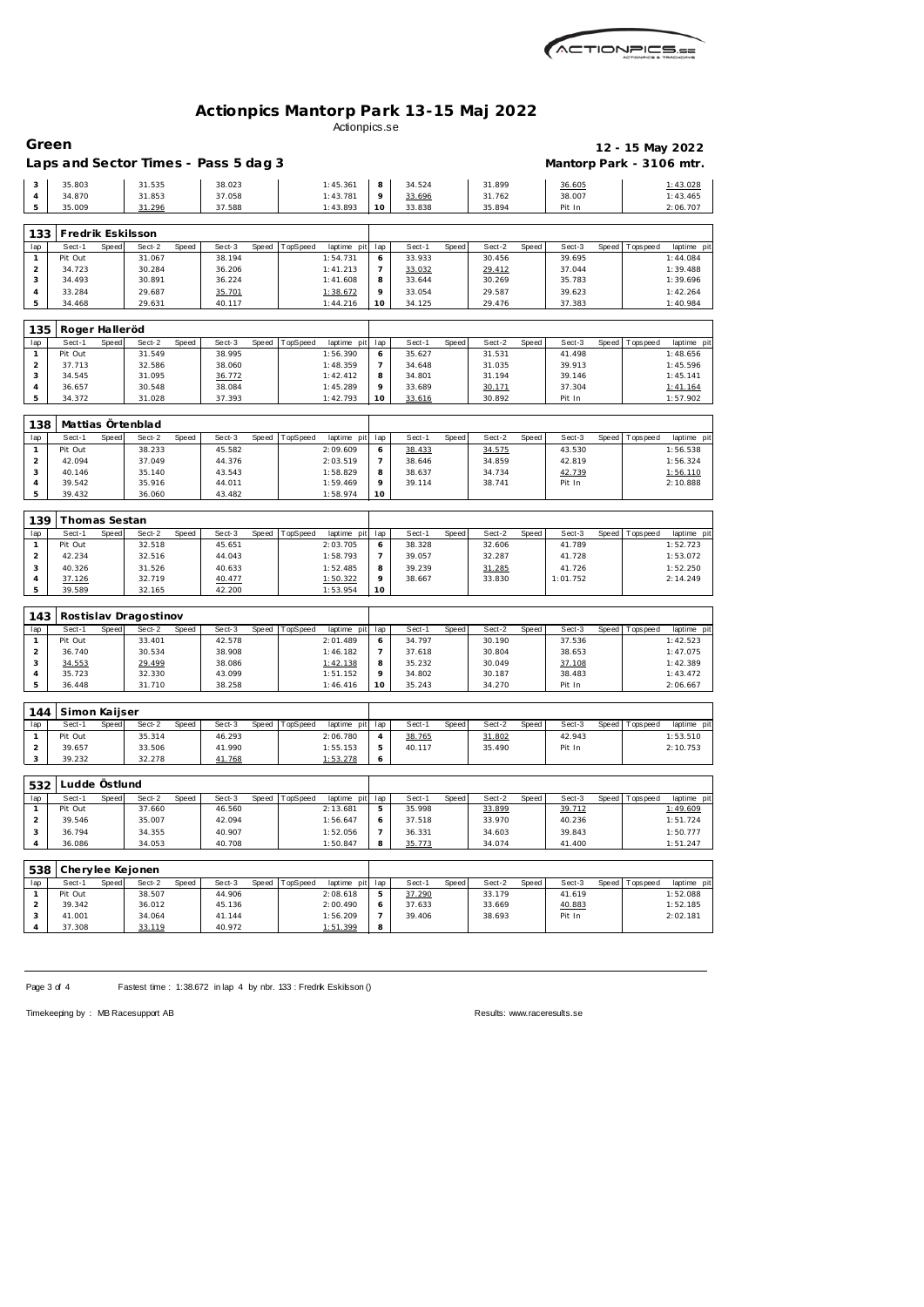

## **Actionpics Mantorp Park 13-15 Maj 2022** Actionpics.se

|                                | Green                    |       |                                      |       |                  |       |          |                         |                     |                  |       |                  |       |                          |       | 12 - 15 May 2022 |                         |
|--------------------------------|--------------------------|-------|--------------------------------------|-------|------------------|-------|----------|-------------------------|---------------------|------------------|-------|------------------|-------|--------------------------|-------|------------------|-------------------------|
|                                |                          |       | Laps and Sector Times - Pass 5 dag 3 |       |                  |       |          |                         |                     |                  |       |                  |       | Mantorp Park - 3106 mtr. |       |                  |                         |
| 3                              | 35.803                   |       | 31.535                               |       | 38.023           |       |          | 1:45.361                | 8                   | 34.524           |       | 31.899           |       | 36.605                   |       |                  | 1:43.028                |
| $\overline{4}$                 | 34.870                   |       | 31.853                               |       | 37.058           |       |          | 1:43.781                | 9                   | 33.696           |       | 31.762           |       | 38.007                   |       |                  | 1:43.465                |
| 5                              | 35.009                   |       | 31.296                               |       | 37.588           |       |          | 1:43.893                | 10                  | 33.838           |       | 35.894           |       | Pit In                   |       |                  | 2:06.707                |
| 133                            | Fredrik Eskilsson        |       |                                      |       |                  |       |          |                         |                     |                  |       |                  |       |                          |       |                  |                         |
| lap                            | Sect-1                   | Speed | Sect-2                               | Speed | Sect-3           | Speed | TopSpeed | laptime pit             | lap                 | Sect-1           | Speed | Sect-2           | Speed | Sect-3                   | Speed | Tops pee d       | laptime pit             |
| $\mathbf{1}$                   | Pit Out                  |       | 31.067                               |       | 38.194           |       |          | 1:54.731                | 6                   | 33.933           |       | 30.456           |       | 39.695                   |       |                  | 1:44.084                |
| $\overline{2}$                 | 34.723                   |       | 30.284                               |       | 36.206           |       |          | 1:41.213                | $\overline{7}$      | 33.032           |       | 29.412           |       | 37.044                   |       |                  | 1:39.488                |
| 3<br>4                         | 34.493<br>33.284         |       | 30.891<br>29.687                     |       | 36.224<br>35.701 |       |          | 1:41.608<br>1:38.672    | 8<br>9              | 33.644<br>33.054 |       | 30.269<br>29.587 |       | 35.783<br>39.623         |       |                  | 1:39.696<br>1:42.264    |
| 5                              | 34.468                   |       | 29.631                               |       | 40.117           |       |          | 1:44.216                | 10                  | 34.125           |       | 29.476           |       | 37.383                   |       |                  | 1:40.984                |
|                                |                          |       |                                      |       |                  |       |          |                         |                     |                  |       |                  |       |                          |       |                  |                         |
| 135                            | Roger Halleröd<br>Sect-1 | Speed | Sect-2                               | Speed | Sect-3           | Speed | TopSpeed |                         | lap                 | Sect-1           | Speed | Sect-2           | Speed | Sect-3                   | Speed | Tops peed        |                         |
| lap<br>$\mathbf{1}$            | Pit Out                  |       | 31.549                               |       | 38.995           |       |          | laptime pit<br>1:56.390 | 6                   | 35.627           |       | 31.531           |       | 41.498                   |       |                  | laptime pit<br>1:48.656 |
| $\overline{2}$                 | 37.713                   |       | 32.586                               |       | 38.060           |       |          | 1:48.359                | $\overline{7}$      | 34.648           |       | 31.035           |       | 39.913                   |       |                  | 1:45.596                |
| 3                              | 34.545                   |       | 31.095                               |       | 36.772           |       |          | 1:42.412                | 8                   | 34.801           |       | 31.194           |       | 39.146                   |       |                  | 1:45.141                |
| 4                              | 36.657                   |       | 30.548                               |       | 38.084           |       |          | 1:45.289                | 9                   | 33.689           |       | 30.171           |       | 37.304                   |       |                  | 1:41.164                |
| 5                              | 34.372                   |       | 31.028                               |       | 37.393           |       |          | 1:42.793                | 10                  | 33.616           |       | 30.892           |       | Pit In                   |       |                  | 1:57.902                |
| 138                            |                          |       | Mattias Örtenblad                    |       |                  |       |          |                         |                     |                  |       |                  |       |                          |       |                  |                         |
| lap                            | Sect-1                   | Speed | Sect-2                               | Speed | Sect-3           | Speed | TopSpeed | laptime pit             | lap                 | Sect-1           | Speed | Sect-2           | Speed | Sect-3                   | Speed | T ops pee d      | laptime pit             |
| $\mathbf{1}$                   | Pit Out                  |       | 38.233                               |       | 45.582           |       |          | 2:09.609                | 6                   | 38.433           |       | 34.575           |       | 43.530                   |       |                  | 1:56.538                |
| $\overline{2}$                 | 42.094                   |       | 37.049                               |       | 44.376           |       |          | 2:03.519                | $\overline{7}$      | 38.646           |       | 34.859           |       | 42.819                   |       |                  | 1:56.324                |
| 3<br>4                         | 40.146<br>39.542         |       | 35.140<br>35.916                     |       | 43.543<br>44.011 |       |          | 1:58.829<br>1:59.469    | 8<br>9              | 38.637<br>39.114 |       | 34.734<br>38.741 |       | 42.739<br>Pit In         |       |                  | 1:56.110<br>2:10.888    |
| 5                              | 39.432                   |       | 36.060                               |       | 43.482           |       |          | 1:58.974                | 10                  |                  |       |                  |       |                          |       |                  |                         |
|                                |                          |       |                                      |       |                  |       |          |                         |                     |                  |       |                  |       |                          |       |                  |                         |
| 139                            | Thomas Sestan            |       |                                      |       |                  |       |          |                         |                     |                  |       |                  |       |                          |       |                  |                         |
| lap<br>$\mathbf{1}$            | Sect-1<br>Pit Out        | Speed | Sect-2<br>32.518                     | Speed | Sect-3<br>45.651 | Speed | TopSpeed | laptime pit<br>2:03.705 | lap<br>6            | Sect-1<br>38.328 | Speed | Sect-2<br>32.606 | Speed | Sect-3<br>41.789         | Speed | Tops pee d       | laptime pit<br>1:52.723 |
| $\overline{2}$                 | 42.234                   |       | 32.516                               |       | 44.043           |       |          | 1:58.793                | $\overline{7}$      | 39.057           |       | 32.287           |       | 41.728                   |       |                  | 1:53.072                |
| 3                              | 40.326                   |       | 31.526                               |       | 40.633           |       |          | 1:52.485                | 8                   | 39.239           |       | 31.285           |       | 41.726                   |       |                  | 1:52.250                |
| 4                              | 37.126                   |       | 32.719                               |       | 40.477           |       |          | 1:50.322                | 9                   | 38.667           |       | 33.830           |       | 1:01.752                 |       |                  | 2:14.249                |
| 5                              | 39.589                   |       | 32.165                               |       | 42.200           |       |          | 1:53.954                | 10                  |                  |       |                  |       |                          |       |                  |                         |
| 143                            |                          |       | Rostislav Dragostinov                |       |                  |       |          |                         |                     |                  |       |                  |       |                          |       |                  |                         |
| lap                            | Sect-1                   | Speed | Sect-2                               | Speed | Sect-3           | Speed | TopSpeed | laptime pit             | lap                 | Sect-1           | Speed | Sect-2           | Speed | Sect-3                   | Speed | Tops peed        | laptime pit             |
| $\mathbf{1}$                   | Pit Out                  |       |                                      |       |                  |       |          |                         |                     |                  |       |                  |       |                          |       |                  |                         |
| $\overline{2}$                 |                          |       | 33.401                               |       | 42.578           |       |          | 2:01.489                | 6                   | 34.797           |       | 30.190           |       | 37.536                   |       |                  | 1:42.523                |
|                                | 36.740                   |       | 30.534                               |       | 38.908           |       |          | 1:46.182                | $\overline{7}$      | 37.618           |       | 30.804           |       | 38.653                   |       |                  | 1:47.075                |
| 3                              | 34.553                   |       | 29.499                               |       | 38.086           |       |          | 1:42.138                | 8                   | 35.232           |       | 30.049           |       | 37.108                   |       |                  | 1:42.389                |
| 4                              | 35.723                   |       | 32.330                               |       | 43.099           |       |          | 1:51.152                | 9<br>10             | 34.802           |       | 30.187           |       | 38.483                   |       |                  | 1:43.472                |
| 5                              | 36.448                   |       | 31.710                               |       | 38.258           |       |          | 1:46.416                |                     | 35.243           |       | 34.270           |       | Pit In                   |       |                  | 2:06.667                |
| 144                            | Simon Kaijser            |       |                                      |       |                  |       |          |                         |                     |                  |       |                  |       |                          |       |                  |                         |
| lap                            | Sect-1                   | Speed | Sect-2                               | Speed | Sect-3           | Speed | TopSpeed | laptime pit             | lap                 | Sect-1           | Speed | Sect-2           | Speed | Sect-3                   | Speed | Tops pee d       |                         |
| $\mathbf{1}$                   | Pit Out                  |       | 35.314                               |       | 46.293           |       |          | 2:06.780                | 4                   | 38.765           |       | 31.802           |       | 42.943                   |       |                  | 1:53.510                |
| $\overline{2}$                 | 39.657                   |       | 33.506                               |       | 41.990           |       |          | 1:55.153                | 5                   | 40.117           |       | 35.490           |       | Pit In                   |       |                  | 2:10.753                |
| 3                              | 39.232                   |       | 32.278                               |       | 41.768           |       |          | 1:53.278                | 6                   |                  |       |                  |       |                          |       |                  | laptime pit             |
| 532                            | Ludde Östlund            |       |                                      |       |                  |       |          |                         |                     |                  |       |                  |       |                          |       |                  |                         |
| lap                            | Sect-1                   | Speed | Sect-2                               | Speed | Sect-3           | Speed | TopSpeed | laptime pit             | lap                 | Sect-1           | Speed | Sect-2           | Speed | Sect-3                   | Speed | Topspeed         | laptime pit             |
| $\mathbf{1}$                   | Pit Out                  |       | 37.660                               |       | 46.560           |       |          | 2:13.681                | 5                   | 35.998           |       | 33.899           |       | 39.712                   |       |                  | 1:49.609                |
| $\overline{a}$                 | 39.546                   |       | 35.007                               |       | 42.094           |       |          | 1:56.647                | 6                   | 37.518           |       | 33.970           |       | 40.236                   |       |                  | 1:51.724                |
| 3<br>4                         | 36.794<br>36.086         |       | 34.355<br>34.053                     |       | 40.907<br>40.708 |       |          | 1:52.056<br>1:50.847    | 7<br>8              | 36.331<br>35.773 |       | 34.603<br>34.074 |       | 39.843<br>41.400         |       |                  | 1:50.777<br>1:51.247    |
|                                |                          |       |                                      |       |                  |       |          |                         |                     |                  |       |                  |       |                          |       |                  |                         |
| 538                            |                          |       | Cherylee Kejonen                     |       |                  |       |          |                         |                     |                  |       |                  |       |                          |       |                  |                         |
| lap                            | Sect-1                   | Speed | Sect-2                               | Speed | Sect-3           | Speed | TopSpeed | laptime pit             | lap                 | Sect-1           | Speed | Sect-2           | Speed | Sect-3                   | Speed | Tops pee d       | laptime pit             |
| $\mathbf{1}$<br>$\overline{2}$ | Pit Out<br>39.342        |       | 38.507<br>36.012                     |       | 44.906<br>45.136 |       |          | 2:08.618<br>2:00.490    | 5<br>6              | 37.290<br>37.633 |       | 33.179<br>33.669 |       | 41.619<br>40.883         |       |                  | 1:52.088<br>1:52.185    |
| 3<br>4                         | 41.001<br>37.308         |       | 34.064<br>33.119                     |       | 41.144<br>40.972 |       |          | 1:56.209<br>1:51.399    | $\overline{7}$<br>8 | 39.406           |       | 38.693           |       | Pit In                   |       |                  | 2:02.181                |

Page 3 of 4 Fastest time : 1:38.672 in lap 4 by nbr. 133 : Fredrik Eskilsson ()